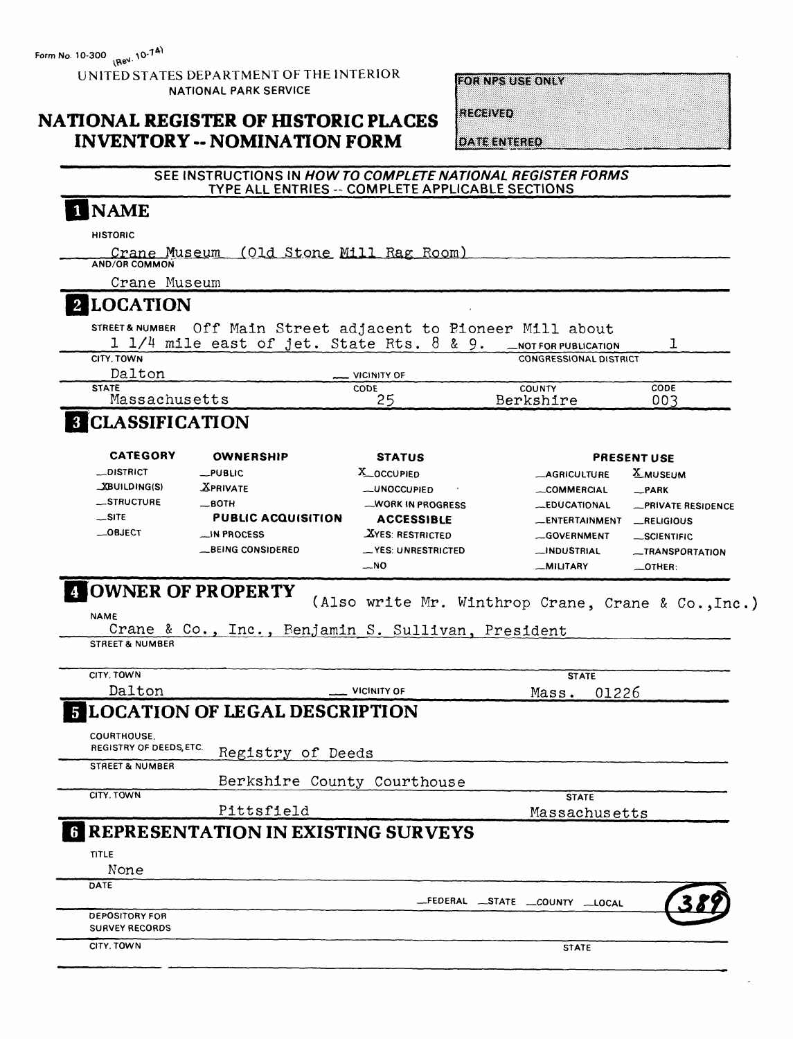UNITED STATES DEPARTMENT OF THE INTERIOR NATIONAL PARK SERVICE

**FOR NPS USE ONLY** 

**RECEIVED** 

### **NATIONAL REGISTER OF HISTORIC PLACES INVENTORY - NOMINATION FORM**

**DATE ENTERED** 

#### **SEE INSTRUCTIONS IN** *HOW TO COMPLETE NATIONAL REGISTER FORMS \_\_\_\_\_\_\_\_\_***TYPE ALL ENTRIES - COMPLETE APPLICABLE SECTIONS\_\_\_\_\_\_**

## 1 NAME

**HISTORIC**

Crane Museum (Old Stone Mill Rag Room) **AND/OR COMMON**

Crane Museum

### **LOCATION**

STREET&NUMBER Off Main Street adjacent to Pioneer Mill about

| sincer a nomber. Of I highli perfect adjacent to proneer with about |                           |  |                               |      |  |
|---------------------------------------------------------------------|---------------------------|--|-------------------------------|------|--|
| $1$ $1/4$ mile east of jet. State Rts. 8 & 9.                       |                           |  | NOT FOR PUBLICATION           |      |  |
| CITY. TOWN                                                          |                           |  | <b>CONGRESSIONAL DISTRICT</b> |      |  |
| Dalton                                                              | $\frac{1}{2}$ VICINITY OF |  |                               |      |  |
| <b>STATE</b>                                                        | <b>CODE</b>               |  | <b>COUNTY</b>                 | CODE |  |
| Massachusetts                                                       | っぱ                        |  | Berkshire                     | 003  |  |

## **B** CLASSIFICATION

| <b>CATEGORY</b><br><b>OWNERSHIP</b> |                           | <b>STATUS</b>                                  | <b>PRESENT USE</b>  |                    |  |  |
|-------------------------------------|---------------------------|------------------------------------------------|---------------------|--------------------|--|--|
| <b>__DISTRICT</b>                   | $\_$ PUBLIC               | <b>X_OCCUPIED</b>                              | <b>AGRICULTURE</b>  | <b>X_MUSEUM</b>    |  |  |
| _XBUILDING(S)                       | <b>XPRIVATE</b>           | <b>_UNOCCUPIED</b><br>$\overline{\phantom{a}}$ | COMMERCIAL          | _PARK              |  |  |
| STRUCTURE                           | $\equiv$ BOTH             | WORK IN PROGRESS                               | <b>EDUCATIONAL</b>  | -PRIVATE RESIDENCE |  |  |
| $$ SITE                             | <b>PUBLIC ACQUISITION</b> | <b>ACCESSIBLE</b>                              | ENTERTAINMENT       | __RELIGIOUS        |  |  |
| $\_$ OBJECT                         | $\Box$ IN PROCESS         | <b>XYES: RESTRICTED</b>                        | .GOVERNMENT         | _SCIENTIFIC        |  |  |
|                                     | <b>__BEING CONSIDERED</b> | -YES: UNRESTRICTED                             | <b>__INDUSTRIAL</b> | -TRANSPORTATION    |  |  |
|                                     |                           | $-NO$                                          | -MILITARY           | OTHER:             |  |  |

#### **OWNER OF PROPERTY** (Also write Mr. Winthrop Crane, Crane & Co.,Inc.)

NAME

Crane & Co., Inc., Benjamin S. Sullivan, President **STREET & NUMBER**

| CITY, TOWN                 |                                             |                                  | <b>STATE</b>  |
|----------------------------|---------------------------------------------|----------------------------------|---------------|
| Dalton                     | <b>VICINITY OF</b>                          | Mass.                            | 01226         |
|                            | <b>5 LOCATION OF LEGAL DESCRIPTION</b>      |                                  |               |
| <b>COURTHOUSE.</b>         |                                             |                                  |               |
| REGISTRY OF DEEDS, ETC.    | Registry of Deeds                           |                                  |               |
| <b>STREET &amp; NUMBER</b> |                                             |                                  |               |
|                            | Berkshire County Courthouse                 |                                  |               |
| CITY. TOWN                 |                                             | <b>STATE</b>                     |               |
|                            | Pittsfield                                  |                                  | Massachusetts |
|                            | <b>6 REPRESENTATION IN EXISTING SURVEYS</b> |                                  |               |
| TITLE                      |                                             |                                  |               |
| None                       |                                             |                                  |               |
| DATE                       |                                             |                                  |               |
|                            |                                             | _FEDERAL _STATE __COUNTY __LOCAL |               |
| <b>DEPOSITORY FOR</b>      |                                             |                                  |               |
| <b>SURVEY RECORDS</b>      |                                             |                                  |               |
| CITY. TOWN                 |                                             | <b>STATE</b>                     |               |
|                            |                                             |                                  |               |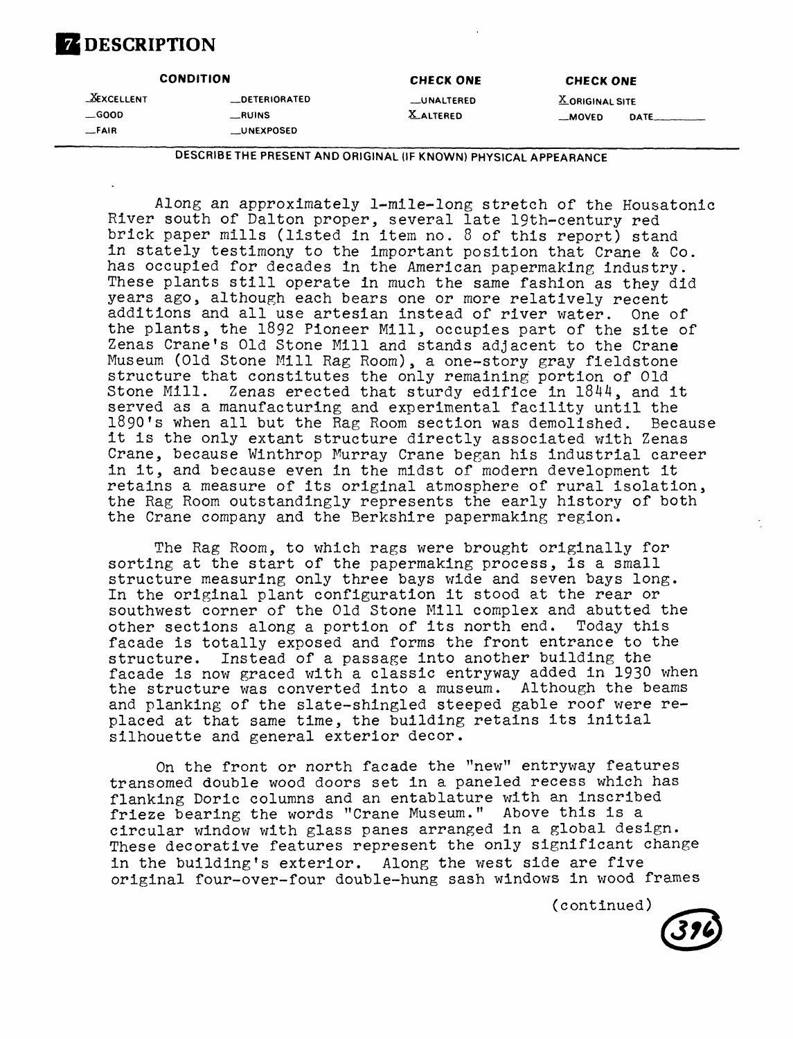## **DESCRIPTION**

|                                               | <b>CONDITION</b>                                          | <b>CHECK ONE</b>                       | <b>CHECK ONE</b>                   |       |  |  |
|-----------------------------------------------|-----------------------------------------------------------|----------------------------------------|------------------------------------|-------|--|--|
| <b>XEXCELLENT</b><br>$\equiv$ GOOD<br>$-FAIR$ | <b>LDETERIORATED</b><br><b>RUINS</b><br><b>LUNEXPOSED</b> | <b>__UNALTERED</b><br><b>X ALTERED</b> | <b>X</b> ORIGINAL SITE<br>$-MOVED$ | DATE_ |  |  |
|                                               |                                                           |                                        |                                    |       |  |  |

**DESCRIBE THE PRESENT AND ORIGINAL (IF KNOWN) PHYSICAL APPEARANCE**

Along an approximately 1-mlle-long stretch of the Housatonic River south of Dalton proper, several late 19th-century red brick paper mills (listed in item no. 8 of this report) stand in stately testimony to the important position that Crane & Co. has occupied for decades in the American papermaking industry. These plants still operate in much the same fashion as they did years ago, although each bears one or more relatively recent additions and all use artesian instead of river water. One of the plants, the 1892 Pioneer Mill, occupies part of the site of Zenas Crane's Old Stone Mill and stands adjacent to the Crane Museum (Old Stone Mill Rag Room), a one-story gray fieldstone structure that constitutes the only remaining portion of Old Stone Mill. Zenas erected that sturdy edifice in 1844, and it served as a manufacturing and experimental facility until the 1890's when all but the Rag Room section was demolished. Because it is the only extant structure directly associated with Zenas Crane, because Winthrop Murray Crane began his industrial career in it, and because even in the midst of modern development it retains a measure of its original atmosphere of rural isolation, the Rag Room outstandingly represents the early history of both the Crane company and the Berkshire papermaking region.

The Rag Room, to which rags were brought originally for sorting at the start of the papermaking process, is a small structure measuring only three bays wide and seven bays long. In the original plant configuration it stood at the rear or southwest corner of the Old Stone Mill complex and abutted the other sections along a portion of its north end. Today this facade is totally exposed and forms the front entrance to the structure. Instead of a passage into another building the facade is now graced with a classic entryway added in 1930 when the structure was converted into a museum. Although the beams and planking of the slate-shingled steeped gable roof were replaced at that same time, the building retains its initial silhouette and general exterior decor.

On the front or north facade the "new" entryway features transomed double wood doors set in a paneled recess which has flanking Doric columns and an entablature with an inscribed frieze bearing the words "Crane Museum." Above this is a circular window with glass panes arranged in a global design. These decorative features represent the only significant change in the building's exterior. Along the west side are five original four-over-four double-hung sash windows in wood frames

(continued)

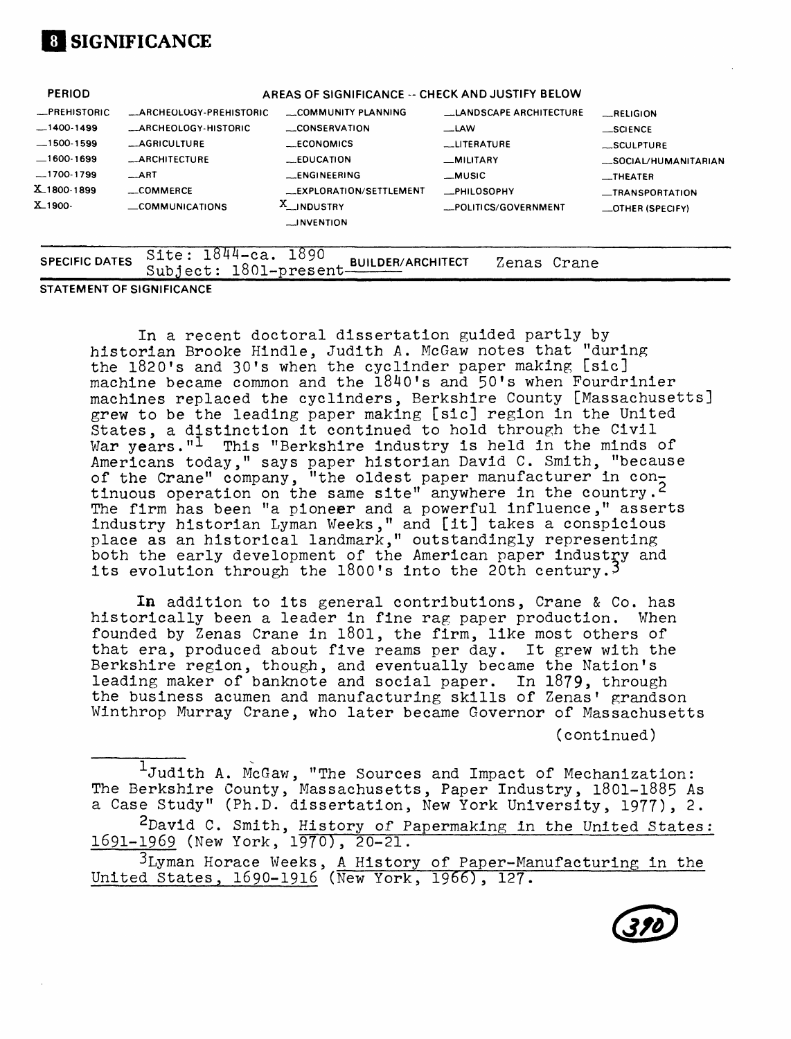## **01 SIGNIFICANCE**

| $X_{-1}$ 900-  | _COMMUNICATIONS               | X_INDUSTRY<br><b>LINVENTION</b>                  | _POLITICS/GOVERNMENT          | $\equiv$ OTHER (SPECIFY) |
|----------------|-------------------------------|--------------------------------------------------|-------------------------------|--------------------------|
| X1800-1899     | $\equiv$ COMMERCE             | __EXPLORATION/SETTLEMENT                         | <b>_PHILOSOPHY</b>            | _TRANSPORTATION          |
| $-1700-1799$   | $\_$ ART                      | <b>LENGINEERING</b>                              | __MUSIC                       | $_{\dots}$ THEATER       |
| $-1600-1699$   | <b>_ARCHITECTURE</b>          | <b>EDUCATION</b>                                 | -MILITARY                     | _SOCIAL/HUMANITARIAN     |
| $-1500 - 1599$ | <b>__AGRICULTURE</b>          | <b>ECONOMICS</b>                                 | <b>LLITERATURE</b>            | _SCULPTURE               |
| $-1400-1499$   | <b>ARCHEOLOGY-HISTORIC</b>    | __CONSERVATION                                   | $\mathcal{L}$ LAW             | $$ SCIENCE               |
| -PREHISTORIC   | <b>ARCHEOLOGY-PREHISTORIC</b> | COMMUNITY PLANNING                               | <b>LANDSCAPE ARCHITECTURE</b> | RELIGION                 |
| <b>PERIOD</b>  |                               | AREAS OF SIGNIFICANCE -- CHECK AND JUSTIFY BELOW |                               |                          |

**STATEMENT OF SIGNIFICANCE**

In a recent doctoral dissertation guided partly by historian Brooke Kindle, Judith A. McGaw notes that "during the 1820's and 30's when the cyclinder paper making [sic] machine became common and the 1840's and 50's when Fourdrinier machines replaced the cyclinders, Berkshire County [Massachusetts] grew to be the leading paper making [sic] region in the United States, a distinction it continued to hold through the Civil War years."<sup>1</sup> This "Berkshire industry is held in the minds of Americans today," says paper historian David C. Smith, "because of the Crane" company, "the oldest paper manufacturer in  $con_{\overline{2}}$ tinuous operation on the same site" anywhere in the country. The firm has been "a pioneer and a powerful influence," asserts industry historian Lyman Weeks," and [it] takes a conspicious place as an historical landmark," outstandingly representing both the early development of the American paper industry and its evolution through the 1800's into the 20th century.<sup>3</sup>

In addition to its general contributions, Crane & Co. has historically been a leader in fine rag paper production. When founded by Zenas Crane in 1801, the firm, like most others of that era, produced about five reams per day. It grew with the Berkshire region, though, and eventually became the Nation's leading maker of banknote and social paper. In 1879, through the business acumen and manufacturing skills of Zenas' grandson Winthrop Murray Crane, who later became Governor of Massachusetts

(continued)

 $\overline{1}_J$ udith A. McGaw, "The Sources and Impact of Mechanization: The Berkshire County, Massachusetts, Paper Industry, 1801-1885 As a Case Study" (Ph.D. dissertation, New York University, 1977), 2. 2David C. Smith, History of Papermaking in the United States: 1691-1969 (New York, 1970), 20-21. 3Lyman Horace Weeks, A History of Paper-Manufacturing in the United States, 1690-1916 (New York, 1966), 127.

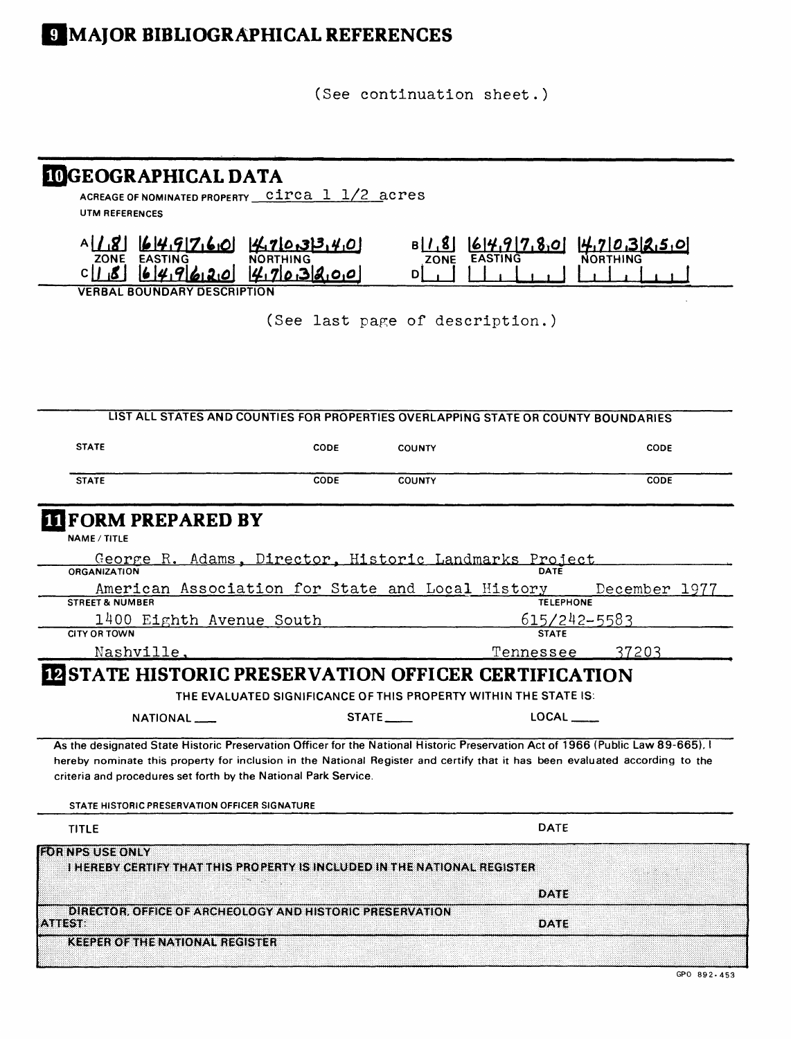# **E** MAJOR BIBLIOGRAPHICAL REFERENCES

(See continuation sheet.)

| <b>IOGEOGRAPHICAL DATA</b><br>UTM REFERENCES                                                                                                                                                                                                                                                                                                                                      | ACREAGE OF NOMINATED PROPERTY Circa 1 1/2 acres                                    |                                 |                  |               |
|-----------------------------------------------------------------------------------------------------------------------------------------------------------------------------------------------------------------------------------------------------------------------------------------------------------------------------------------------------------------------------------|------------------------------------------------------------------------------------|---------------------------------|------------------|---------------|
| ZONE<br>64.9620<br>CII                                                                                                                                                                                                                                                                                                                                                            | $A[1,8]$ $64.9760$ $470.33.40$<br>4703800                                          | B/J, 8<br><b>ZONE</b><br>D)     | 614,917,80       | 4.703250      |
| <b>VERBAL BOUNDARY DESCRIPTION</b>                                                                                                                                                                                                                                                                                                                                                |                                                                                    |                                 |                  |               |
|                                                                                                                                                                                                                                                                                                                                                                                   |                                                                                    | (See last page of description.) |                  |               |
|                                                                                                                                                                                                                                                                                                                                                                                   | LIST ALL STATES AND COUNTIES FOR PROPERTIES OVERLAPPING STATE OR COUNTY BOUNDARIES |                                 |                  |               |
| <b>STATE</b>                                                                                                                                                                                                                                                                                                                                                                      | <b>CODE</b>                                                                        | <b>COUNTY</b>                   |                  | <b>CODE</b>   |
| <b>STATE</b>                                                                                                                                                                                                                                                                                                                                                                      | <b>CODE</b>                                                                        | <b>COUNTY</b>                   |                  | CODE          |
| <b>FORM PREPARED BY</b><br><b>NAME / TITLE</b>                                                                                                                                                                                                                                                                                                                                    | George R. Adams, Director, Historic Landmarks Project                              |                                 |                  |               |
| ORGANIZATION                                                                                                                                                                                                                                                                                                                                                                      |                                                                                    |                                 |                  |               |
| <b>STREET &amp; NUMBER</b>                                                                                                                                                                                                                                                                                                                                                        | American Association for State and Local History                                   |                                 | <b>TELEPHONE</b> | December 1977 |
|                                                                                                                                                                                                                                                                                                                                                                                   | 1400 Eighth Avenue South                                                           |                                 |                  | 615/242-5583  |
| <b>CITY OR TOWN</b>                                                                                                                                                                                                                                                                                                                                                               |                                                                                    |                                 | <b>STATE</b>     |               |
| Nashville,                                                                                                                                                                                                                                                                                                                                                                        |                                                                                    |                                 | <u>Tennessee</u> | 37203         |
| <b>IN STATE HISTORIC PRESERVATION OFFICER CERTIFICATION</b>                                                                                                                                                                                                                                                                                                                       |                                                                                    |                                 |                  |               |
|                                                                                                                                                                                                                                                                                                                                                                                   | THE EVALUATED SIGNIFICANCE OF THIS PROPERTY WITHIN THE STATE IS:                   | STATE                           | LOCAL ___        |               |
| NATIONAL ___                                                                                                                                                                                                                                                                                                                                                                      |                                                                                    |                                 |                  |               |
| As the designated State Historic Preservation Officer for the National Historic Preservation Act of 1966 (Public Law 89-665).<br>hereby nominate this property for inclusion in the National Register and certify that it has been evaluated according to the<br>criteria and procedures set forth by the National Park Service.<br>STATE HISTORIC PRESERVATION OFFICER SIGNATURE |                                                                                    |                                 |                  |               |
| <b>TITLE</b>                                                                                                                                                                                                                                                                                                                                                                      |                                                                                    |                                 | <b>DATE</b>      |               |
| <b>FOR NPS USE ONLY</b>                                                                                                                                                                                                                                                                                                                                                           | I HEREBY CERTIFY THAT THIS PROPERTY IS INCLUDED IN THE NATIONAL REGISTER           |                                 | DATE             |               |
| <b>ATTEST</b>                                                                                                                                                                                                                                                                                                                                                                     | DIRECTOR, OFFICE OF ARCHEOLOGY AND HISTORIC PRESERVATION                           |                                 | <b>DATE</b>      |               |
| KEEPER OF THE NATIONAL REGISTER                                                                                                                                                                                                                                                                                                                                                   |                                                                                    |                                 |                  |               |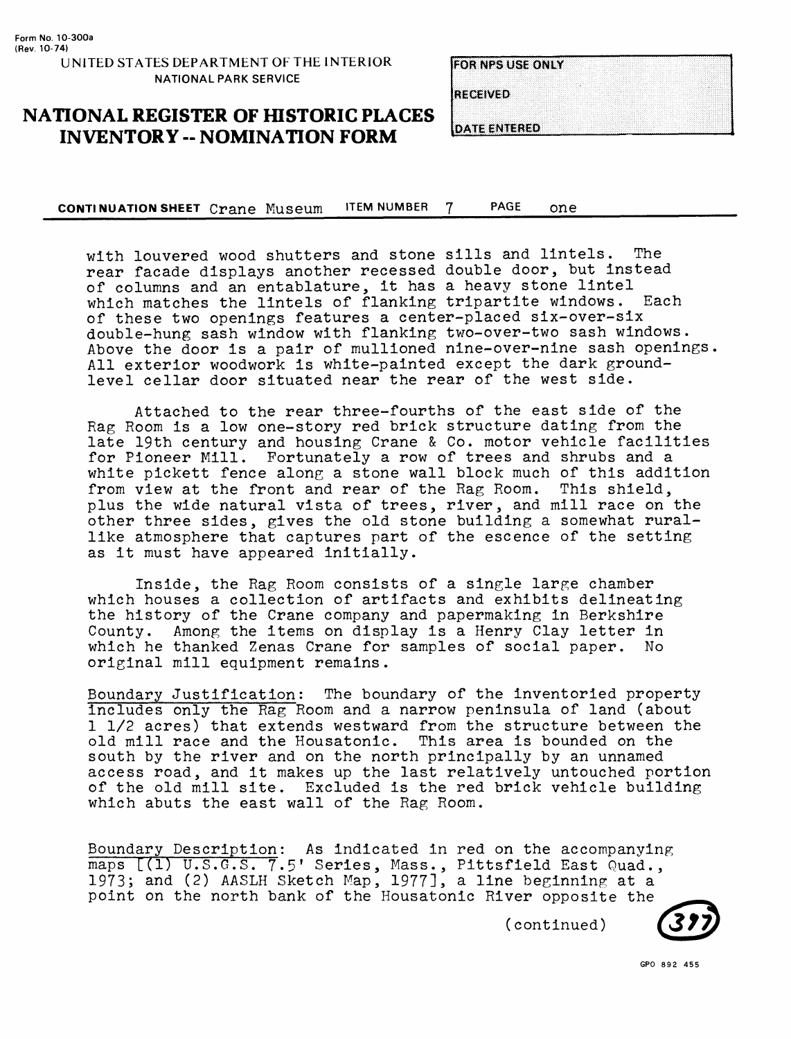**RECEIVED** 

**DATE ENTERED** 

**NATIONAL REGISTER OF HISTORIC PLACES INVENTORY -- NOMINATION FORM**

**CONTINUATION SHEET** Crane Museum ITEM NUMBER 7 PAGE one\_\_\_\_\_\_\_\_\_\_\_

with louvered wood shutters and stone sills and lintels. The rear facade displays another recessed double door, but instead of columns and an entablature, it has a heavy stone lintel which matches the lintels of flanking tripartite windows. Each of these two openings features a center-placed six-over-six double-hung sash window with flanking two-over-two sash windows. Above the door is a pair of mullioned nine-over-nine sash openings, All exterior woodwork is white-painted except the dark groundlevel cellar door situated near the rear of the west side.

Attached to the rear three-fourths of the east side of the Rag Room is a low one-story red brick structure dating from the late 19th century and housing Crane & Co. motor vehicle facilities for Pioneer Mill. Fortunately a row of trees and shrubs and a white pickett fence along a stone wall block much of this addition from view at the front and rear of the Rag Room. This shield, plus the wide natural vista of trees, river, and mill race on the other three sides, gives the old stone building a somewhat rurallike atmosphere that captures part of the escence of the setting as it must have appeared initially.

Inside, the Rag Room consists of a single large chamber which houses a collection of artifacts and exhibits delineating the history of the Crane company and papermaking in Berkshire County. Among the items on display is a Henry Clay letter in which he thanked Zenas Crane for samples of social paper. No original mill equipment remains.

Boundary Justification: The boundary of the inventoried property includes only the Rag Room and a narrow peninsula of land (about 1 1/2 acres) that extends westward from the structure between the old mill race and the Housatonic. This area is bounded on the south by the river and on the north principally by an unnamed access road, and it makes up the last relatively untouched portion of the old mill site. Excluded is the red brick vehicle building which abuts the east wall of the Rag Room.

Boundary Description: As indicated in red on the accompanying maps [(1) U.S.G.S. 7.5' Series, Mass., Pittsfield East Quad., 1973; and (2) AASLH Sketch Map, 1977], a line beginning at a point on the north bank of the Housatonic River opposite the

(continued)

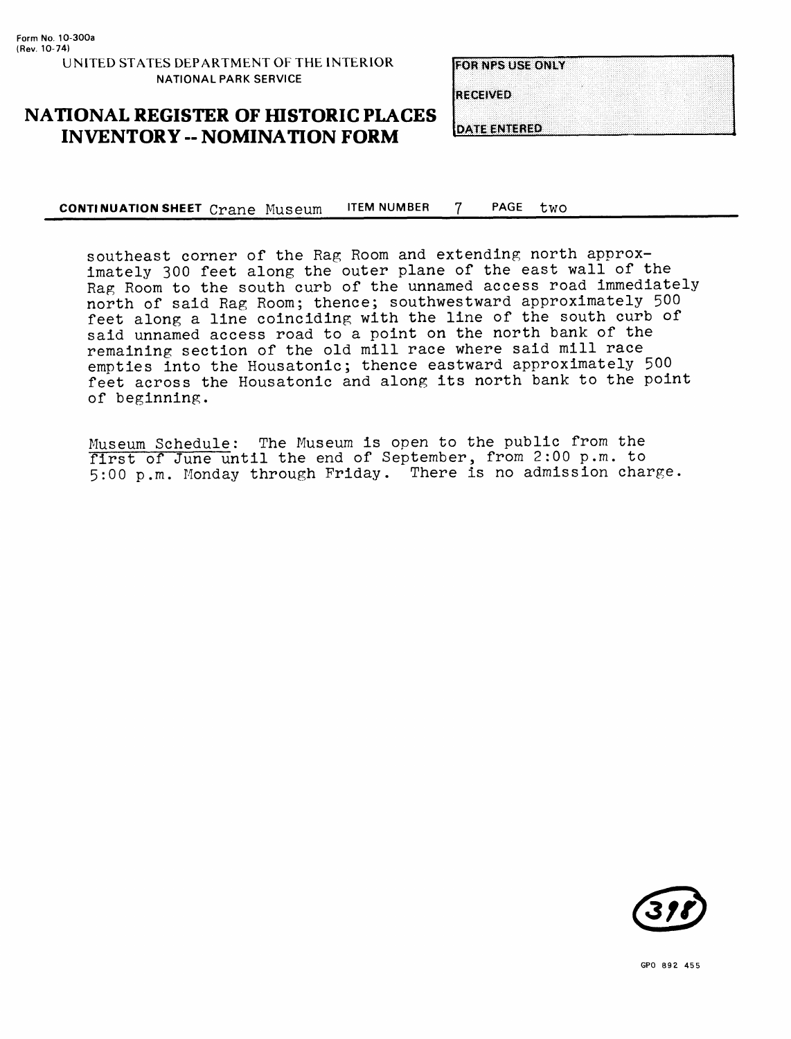**RECEIVED** 

### **NATIONAL REGISTER OF HISTORIC PLACES INVENTORY - NOMINATION FORM**

**DATE ENTERED** 

**CONTINUATION SHEET crane** Museum ITEM NUMBER 7 PAGE two\_\_\_\_\_\_\_\_\_\_\_

southeast corner of the Rag Room and extending north approximately 300 feet along the outer plane of the east wall of the Rag Room to the south curb of the unnamed access road immediately north of said Rag Room; thence; southwestward approximately 500 feet along a line coinciding with the line of the south curb of said unnamed access road to a point on the north bank of the remaining section of the old mill race where said mill race empties into the Housatonic; thence eastward approximately 500 feet across the Housatonic and along its north bank to the point of beginning.

Museum Schedule: The Museum is open to the public from the first of June until the end of September, from 2:00 p.m. to 5:00 p.m. Monday through Friday. There is no admission charge.

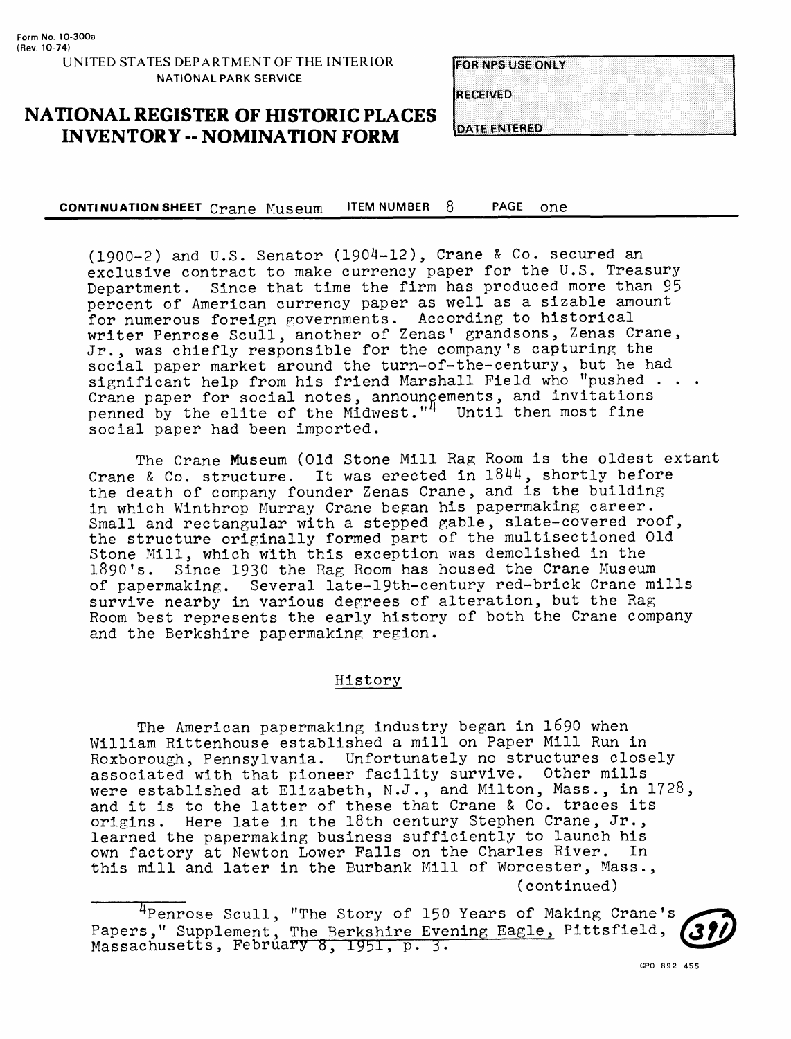RECEIVED

**NATIONAL REGISTER OF HISTORIC PLACES INVENTORY -- NOMINATION FORM**

**DATE ENTERED** 

**CONTINUATION SHEET** Crane Museum ITEM NUMBER 8 PAGE one\_\_\_\_\_\_\_\_\_\_\_\_

(1900-2) and U.S. Senator (1904-12), Crane & Co. secured an exclusive contract to make currency paper for the U.S. Treasury Department. Since that time the firm has produced more than 95 percent of American currency paper as well as a sizable amount for numerous foreign governments. According to historical writer Penrose Scull, another of Zenas' grandsons, Zenas Crane, Jr., was chiefly responsible for the company's capturing the social paper market around the turn-of-the-century, but he had significant help from his friend Marshall Field who "pushed . . . Crane paper for social notes, announcements, and invitations penned by the elite of the Midwest."<sup>4</sup> Until then most fine social paper had been imported.

The Crane Museum (Old Stone Mill Rag Room is the oldest extant Crane & Co. structure. It was erected in 1844, shortly before the death of company founder Zenas Crane, and is the building in which Winthrop Murray Crane began his papermaking career. Small and rectangular with a stepped gable, slate-covered roof, the structure originally formed part of the multisectioned Old Stone Mill, which with this exception was demolished in the 1890's. Since 1930 the Rag Room has housed the Crane Museum of papermaking. Several late-19th-century red-brick Crane mills survive nearby in various degrees of alteration, but the Rag Room best represents the early history of both the Crane company and the Berkshire papermaking region.

#### History

The American papermaking industry began in 1690 when William Rittenhouse established a mill on Paper Mill Run in Roxborough, Pennsylvania. Unfortunately no structures closely associated with that pioneer facility survive. Other mills were established at Elizabeth, N.J., and Milton, Mass., in 1728, and it is to the latter of these that Crane & Co. traces its origins. Here late in the 18th century Stephen Crane, Jr., learned the papermaking business sufficiently to launch his own factory at Newton Lower Falls on the Charles River. In this mill and later in the Burbank Mill of Worcester, Mass., (continued)

| <sup>4</sup> Penrose Scull, "The Story of 150 Years of Making Crane's<br>Papers," Supplement, The Berkshire Evening Eagle, Pittsfield, (39) |  |  |  |  |  |
|---------------------------------------------------------------------------------------------------------------------------------------------|--|--|--|--|--|
|                                                                                                                                             |  |  |  |  |  |
| Massachusetts, Febrúary 8, 1951, p. 3.                                                                                                      |  |  |  |  |  |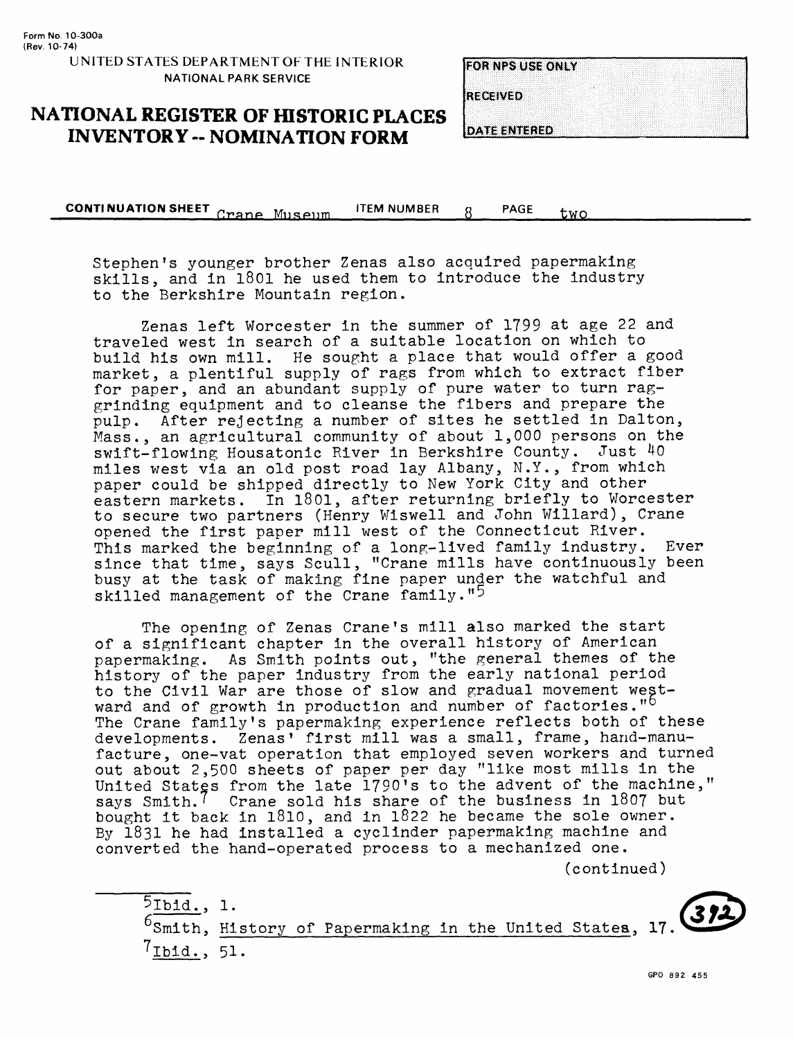RECEIVED

**DATE ENTERED** 

### **NATIONAL REGISTER OF HISTORIC PLACES INVENTORY -- NOMINATION FORM**

**CONTINUATION SHEET** Crane Museum ITEM NUMBER 8 PAGE two

Stephen's younger brother Zenas also acquired papermaklng skills, and In 1801 he used them to Introduce the Industry to the Berkshire Mountain region.

Zenas left Worcester in the summer of 1799 at age 22 and traveled west in search of a suitable location on which to build his own mill. He sought a place that would offer a good market, a plentiful supply of rags from which to extract fiber for paper, and an abundant supply of pure water to turn raggrinding equipment and to cleanse the fibers and prepare the pulp. After rejecting a number of sites he settled in Dalton, Mass., an agricultural community of about 1,000 persons on the swift-flowing Housatonic River in Berkshire County. Just 40 miles west via an old post road lay Albany, N.Y., from which paper could be shipped directly to New York City and other eastern markets. In 1801, after returning briefly to Worcester to secure two partners (Henry Wiswell and John Willard), Crane opened the first paper mill west of the Connecticut River. This marked the beginning of a long-lived family industry. Ever since that time, says Scull, "Crane mills have continuously been busy at the task of making fine paper under the watchful and skilled management of the Crane family."<sup>5</sup>

The opening of Zenas Crane's mill also marked the start of a significant chapter in the overall history of American papermaking. As Smith points out, "the general themes of the history of the paper industry from the early national period to the Civil War are those of slow and gradual movement westward and of growth in production and number of factories."<sup>b</sup> The Crane family's papermaking experience reflects both of these developments. Zenas' first mill was a small, frame, hand-manufacture, one-vat operation that employed seven workers and turned out about 2,500 sheets of paper per day "like most mills in the United States from the late 1790 's to the advent of the machine," says Smith.' Crane sold his share of the business in 1807 but bought it back in 1810, and in 1822 he became the sole owner. By 1831 he had installed a cyclinder papermaking machine and converted the hand-operated process to a mechanized one.

(continued)

51bid., 1. <sup>6</sup>Smith, History of Papermaking in the United States, 17.  $7$ Ibid., 51.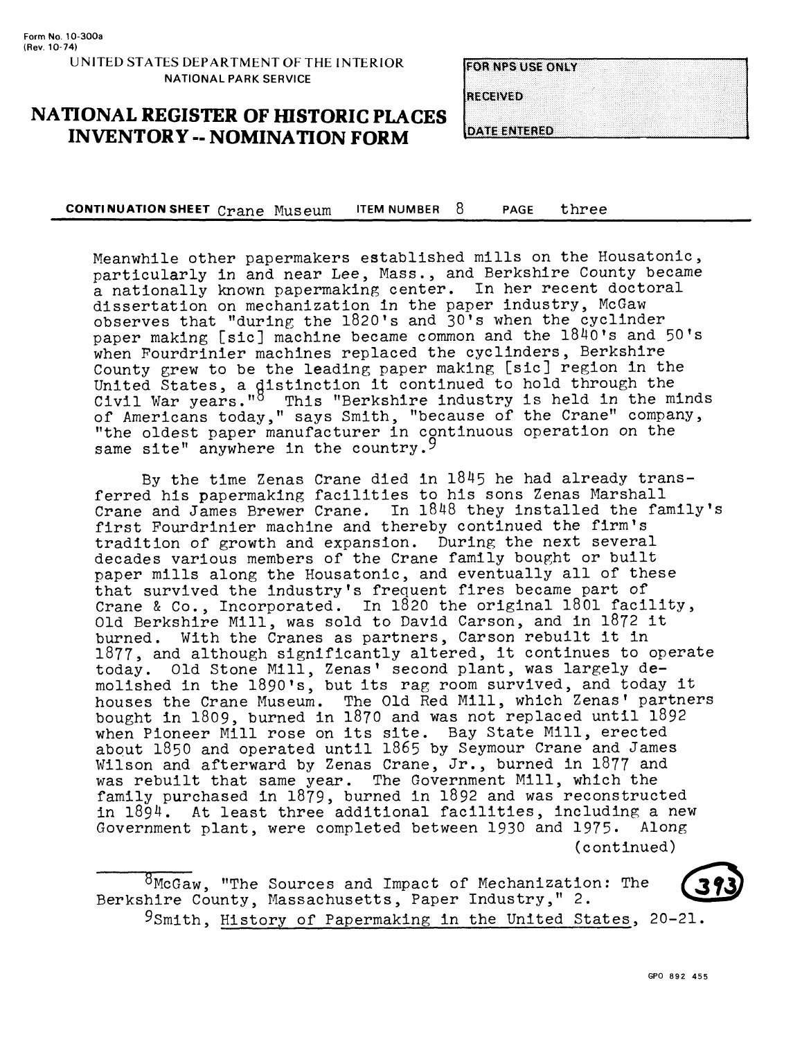**RECEIVED** 

**DATE ENTERED** 

**NATIONAL REGISTER OF HISTORIC PLACES INVENTORY -- NOMINATION FORM** 

**CONTINUATION SHEET** Crane Museum ITEM NUMBER 8 PAGE three\_\_\_\_\_\_\_\_\_\_

Meanwhile other papermakers established mills on the Housatonic, particularly in and near Lee, Mass., and Berkshire County became a nationally known papermaking center. In her recent doctoral dissertation on mechanization in the paper industry, McGaw observes that "during the 1820's and 30's when the cyclinder paper making [sic] machine became common and the l840's and 50's when Fourdrinier machines replaced the cyclinders, Berkshire County grew to be the leading paper making [sic] region in the United States, a distinction it continued to hold through the Civil War years."<sup>8</sup> This "Berkshire industry is held in the minds of Americans today," says Smith, "because of the Crane" company, "the oldest paper manufacturer in continuous operation on the same site" anywhere in the country.<sup>9</sup>

By the time Zenas Crane died in 1845 he had already transferred his papermaking facilities to his sons Zenas Marshall Crane and James Brewer Crane. In 1848 they installed the family's first Pourdrinier machine and thereby continued the firm's tradition of growth and expansion. During the next several decades various members of the Crane family bought or built paper mills along the Housatonic, and eventually all of these that survived the industry's frequent fires became part of Crane & Co., Incorporated. In 1820 the original 1801 facility, Old Berkshire Mill, was sold to David Carson, and in 1872 it burned. With the Cranes as partners, Carson rebuilt it in 1877, and although significantly altered, it continues to operate today. Old Stone Mill, Zenas' second plant, was largely demolished in the 1890's, but its rag room survived, and today it houses the Crane Museum. The Old Red Mill, which Zenas' partners bought in 1809, burned in 1870 and was not replaced until 1892 when Pioneer Mill rose on its site. Bay State Mill, erected about 1850 and operated until 1865 by Seymour Crane and James Wilson and afterward by Zenas Crane, Jr., burned in 1877 and was rebuilt that same year. The Government Mill, which the family purchased in 1879, burned in 1892 and was reconstructed in 1894. At least three additional facilities, including a new Government plant, were completed between 1930 and 1975. Along (continued)

 $8$ McGaw, "The Sources and Impact of Mechanization: The Berkshire County, Massachusetts, Paper Industry," 2. 9Smith, History of Papermaking in the United States, 20-21.

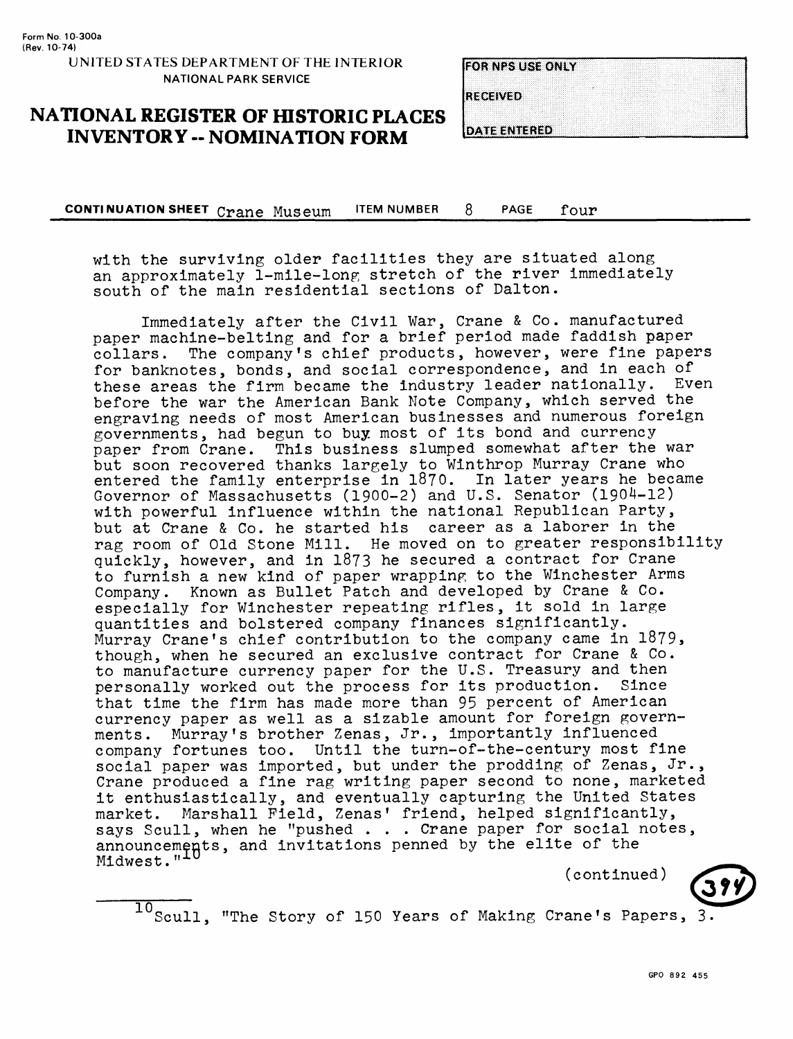**RECEIVED** 

**DATE ENTERED** 

**NATIONAL REGISTER OF HISTORIC PLACES INVENTORY -- NOMINATION FORM**

**CONTINUATION SHEET** Crane Museum ITEM NUMBER 8 PAGE four

with the surviving older facilities they are situated along an approximately 1-mile-long stretch of the river immediately south of the main residential sections of Dalton.

Immediately after the Civil War, Crane & Co. manufactured paper machine-belting and for a brief period made faddish paper collars. The company's chief products, however, were fine papers for banknotes, bonds, and social correspondence, and in each of these areas the firm became the industry leader nationally. Even before the war the American Bank Note Company, which served the engraving needs of most American businesses and numerous foreign governments, had begun to buy most of its bond and currency paper from Crane. This business slumped somewhat after the war but soon recovered thanks largely to Winthrop Murray Crane who entered the family enterprise in 1870. In later years he became Governor of Massachusetts (1900-2) and U.S. Senator (1904-12) with powerful influence within the national Republican Party, but at Crane & Co. he started his career as a laborer in the rag room of Old Stone Mill. He moved on to greater responsibility quickly, however, and in 1873 he secured a contract for Crane to furnish a new kind of paper wrapping to the Winchester Arms Company. Known as Bullet Patch and developed by Crane & Co. especially for Winchester repeating rifles, it sold in large quantities and bolstered company finances significantly. Murray Crane's chief contribution to the company came in 1879 , though, when he secured an exclusive contract for Crane & Co. to manufacture currency paper for the U.S. Treasury and then<br>personally worked out the process for its production. Since personally worked out the process for its production. that time the firm has made more than 95 percent of American currency paper as well as a sizable amount for foreign governments. Murray's brother Zenas, Jr., importantly influenced company fortunes too. Until the turn-of-the-century most fine social paper was imported, but under the prodding of Zenas, Jr., Crane produced a fine rag writing paper second to none, marketed it enthusiastically, and eventually capturing the United States market. Marshall Field, Zenas' friend, helped significantly, says Scull, when he "pushed . . . Crane paper for social notes, announcements, and invitations penned by the elite of the Midwest."<sup>10</sup>

(continued)

 $\frac{10}{\text{Scull}}$ , "The Story of 150 Years of Making Crane's Papers, 3.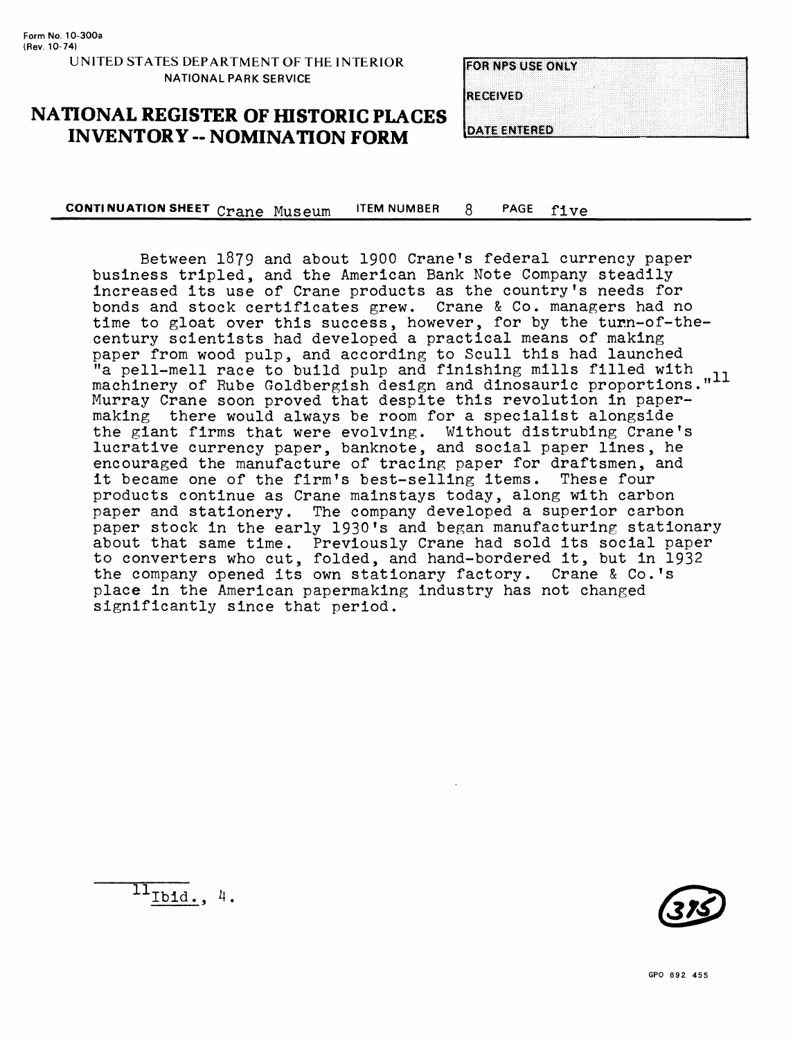**RECEIVED** 

**DATE ENTERED** 

**NATIONAL REGISTER OF HISTORIC PLACES INVENTORY -- NOMINATION FORM** 

**CONTINUATION SHEET** Crane Museum ITEM NUMBER 8 PAGE five

Between 1879 and about 1900 Crane's federal currency paper business tripled, and the American Bank Note Company steadily increased its use of Crane products as the country's needs for bonds and stock certificates grew. Crane & Co. managers had no time to gloat over this success, however, for by the turn-of-thecentury scientists had developed a practical means of making paper from wood pulp, and according to Scull this had launched "a pell-mell race to build pulp and finishing mills filled with  $\frac{1}{n-1}$ . machinery of Rube Goldbergish design and dinosauric proportions."<sup>11</sup> Murray Crane soon proved that despite this revolution in papermaking there would always be room for a specialist alongside the giant firms that were evolving. Without distrubing Crane's lucrative currency paper, banknote, and social paper lines, he encouraged the manufacture of tracing paper for draftsmen, and<br>it became one of the firm's best-selling items. These four it became one of the firm's best-selling items. products continue as Crane mainstays today, along with carbon paper and stationery. The company developed a superior carbon paper stock in the early 1930's and began manufacturing stationary about that same time. Previously Crane had sold its social paper to converters who cut, folded, and hand-bordered it, but in 1932 the company opened its own stationary factory. Crane & Co.'s place in the American papermaking industry has not changed significantly since that period.



 $\frac{11_{\text{Ibid.}}}{4}.$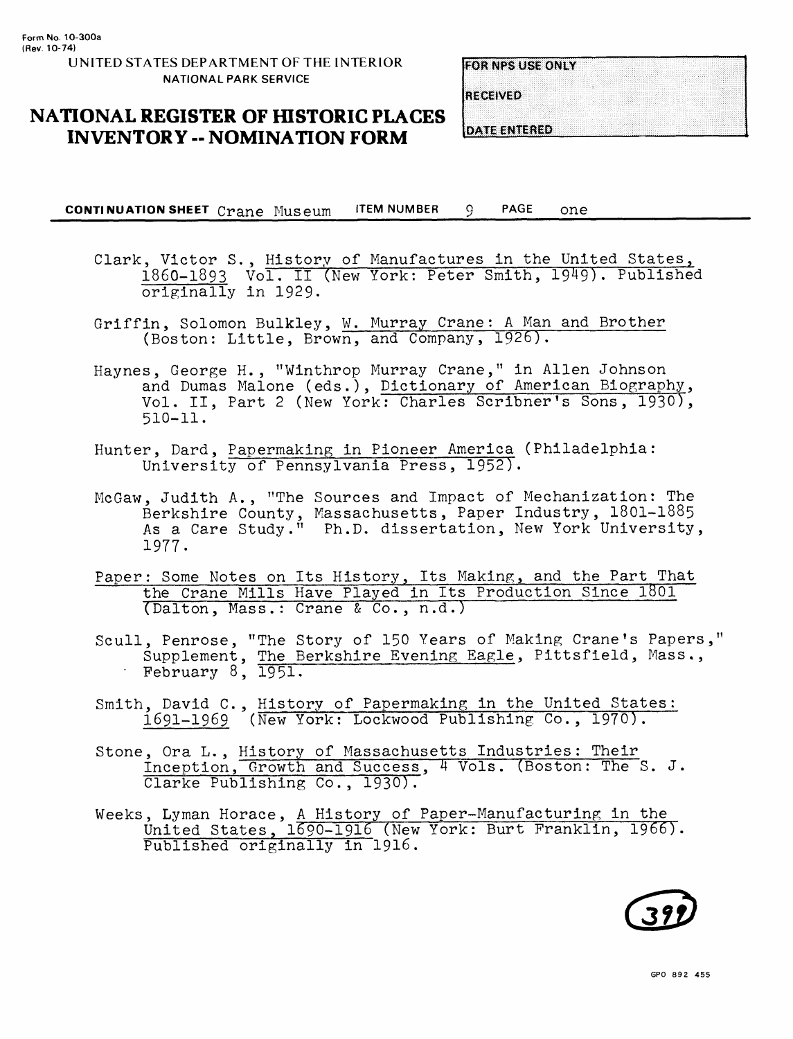**RECEIVED** 

**DATE ENTERED** 

**NATIONAL REGISTER OF HISTORIC PLACES INVENTORY -- NOMINATION FORM**

**CONTINUATION SHEET** Crane Museum ITEM NUMBER 9 PAGE one

- Clark, Victor S., History of Manufactures in the United States, 1860-1893 Vol. II (New York: Peter Smith, 1949). Published originally in 1929.
- Griffin, Solomon Bulkley, W. Murray Crane: A Man and Brother (Boston: Little, Brown, and Company, 1926).
- Haynes, George H., "Winthrop Murray Crane," in Alien Johnson and Dumas Malone (eds.), Dictionary of American Biography, Vol. II, Part 2 (New York: Charles Scribner's Sons, 1930), 510-11.
- Hunter, Dard, Papermaking in Pioneer America (Philadelphia: University of Pennsylvania Press, 1952).
- McGaw, Judith A., "The Sources and Impact of Mechanization: The Berkshire County, Massachusetts, Paper Industry, 1801-1885 As a Care Study." Ph.D. dissertation, New York University, 1977.
- Paper: Some Notes on Its History, Its Making, and the Part That the Crane Mills Have Played in Its Production Since 1801 (Dalton, Mass.: Crane & Co., n.d.)
- Scull, Penrose, "The Story of 150 Years of Making Crane's Papers," Supplement, The Berkshire Evening Eagle, Pittsfield, Mass.., February 8, 1951.
- Smith, David C., History of Papermaking in the United States: 1691-1969 (New York: Lockwood Publishing Co., 1970).
- Stone, Ora L., History of Massachusetts Industries: Their Inception, Growth and Success, 4 Vols.(Boston: The S. J. Clarke Publishing Co., 1930).
- Weeks, Lyman Horace, A History of Paper-Manufacturing in the United States, 1690-1916 (New York: Burt Franklin, 1966). Published originally in 1916.